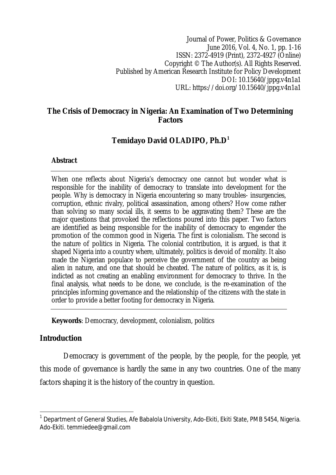Journal of Power, Politics & Governance June 2016, Vol. 4, No. 1, pp. 1-16 ISSN: 2372-4919 (Print), 2372-4927 (Online) Copyright © The Author(s). All Rights Reserved. Published by American Research Institute for Policy Development DOI: 10.15640/jppg.v4n1a1 URL: https://doi.org/10.15640/jppg.v4n1a1

### **The Crisis of Democracy in Nigeria: An Examination of Two Determining Factors**

# **Temidayo David OLADIPO, Ph.D<sup>1</sup>**

#### **Abstract**

When one reflects about Nigeria's democracy one cannot but wonder what is responsible for the inability of democracy to translate into development for the people. Why is democracy in Nigeria encountering so many troubles- insurgencies, corruption, ethnic rivalry, political assassination, among others? How come rather than solving so many social ills, it seems to be aggravating them? These are the major questions that provoked the reflections poured into this paper. Two factors are identified as being responsible for the inability of democracy to engender the promotion of the common good in Nigeria. The first is colonialism. The second is the nature of politics in Nigeria. The colonial contribution, it is argued, is that it shaped Nigeria into a country where, ultimately, politics is devoid of morality. It also made the Nigerian populace to perceive the government of the country as being alien in nature, and one that should be cheated. The nature of politics, as it is, is indicted as not creating an enabling environment for democracy to thrive. In the final analysis, what needs to be done, we conclude, is the re-examination of the principles informing governance and the relationship of the citizens with the state in order to provide a better footing for democracy in Nigeria.

**Keywords**: Democracy, development, colonialism, politics

## **Introduction**

 $\overline{a}$ 

Democracy is government of the people, by the people, for the people, yet this mode of governance is hardly the same in any two countries. One of the many factors shaping it is the history of the country in question.

 $^{\text{1}}$  Department of General Studies, Afe Babalola University, Ado-Ekiti, Ekiti State, PMB 5454, Nigeria. Ado-Ekiti. temmiedee@gmail.com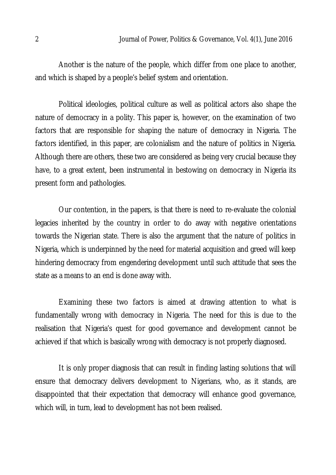Another is the nature of the people, which differ from one place to another, and which is shaped by a people's belief system and orientation.

Political ideologies, political culture as well as political actors also shape the nature of democracy in a polity. This paper is, however, on the examination of two factors that are responsible for shaping the nature of democracy in Nigeria. The factors identified, in this paper, are colonialism and the nature of politics in Nigeria. Although there are others, these two are considered as being very crucial because they have, to a great extent, been instrumental in bestowing on democracy in Nigeria its present form and pathologies.

Our contention, in the papers, is that there is need to re-evaluate the colonial legacies inherited by the country in order to do away with negative orientations towards the Nigerian state. There is also the argument that the nature of politics in Nigeria, which is underpinned by the need for material acquisition and greed will keep hindering democracy from engendering development until such attitude that sees the state as a means to an end is done away with.

Examining these two factors is aimed at drawing attention to what is fundamentally wrong with democracy in Nigeria. The need for this is due to the realisation that Nigeria's quest for good governance and development cannot be achieved if that which is basically wrong with democracy is not properly diagnosed.

It is only proper diagnosis that can result in finding lasting solutions that will ensure that democracy delivers development to Nigerians, who, as it stands, are disappointed that their expectation that democracy will enhance good governance, which will, in turn, lead to development has not been realised.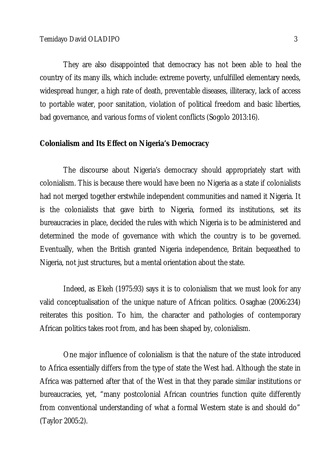They are also disappointed that democracy has not been able to heal the country of its many ills, which include: extreme poverty, unfulfilled elementary needs, widespread hunger, a high rate of death, preventable diseases, illiteracy, lack of access to portable water, poor sanitation, violation of political freedom and basic liberties, bad governance, and various forms of violent conflicts (Sogolo 2013:16).

#### **Colonialism and Its Effect on Nigeria's Democracy**

The discourse about Nigeria's democracy should appropriately start with colonialism. This is because there would have been no Nigeria as a state if colonialists had not merged together erstwhile independent communities and named it Nigeria. It is the colonialists that gave birth to Nigeria, formed its institutions, set its bureaucracies in place, decided the rules with which Nigeria is to be administered and determined the mode of governance with which the country is to be governed. Eventually, when the British granted Nigeria independence, Britain bequeathed to Nigeria, not just structures, but a mental orientation about the state.

Indeed, as Ekeh (1975:93) says it is to colonialism that we must look for any valid conceptualisation of the unique nature of African politics. Osaghae (2006:234) reiterates this position. To him, the character and pathologies of contemporary African politics takes root from, and has been shaped by, colonialism.

One major influence of colonialism is that the nature of the state introduced to Africa essentially differs from the type of state the West had. Although the state in Africa was patterned after that of the West in that they parade similar institutions or bureaucracies, yet, "many postcolonial African countries function quite differently from conventional understanding of what a formal Western state is and should do" (Taylor 2005:2).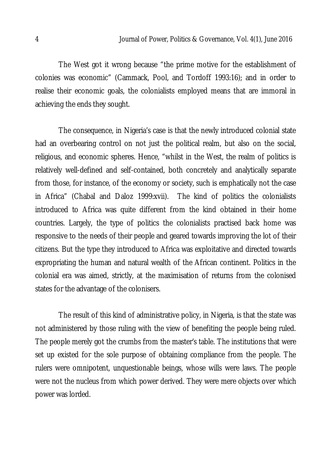The West got it wrong because "the prime motive for the establishment of colonies was economic" (Cammack, Pool, and Tordoff 1993:16); and in order to realise their economic goals, the colonialists employed means that are immoral in achieving the ends they sought.

The consequence, in Nigeria's case is that the newly introduced colonial state had an overbearing control on not just the political realm, but also on the social, religious, and economic spheres. Hence, "whilst in the West, the realm of politics is relatively well-defined and self-contained, both concretely and analytically separate from those, for instance, of the economy or society, such is emphatically not the case in Africa" (Chabal and Daloz 1999:xvii). The kind of politics the colonialists introduced to Africa was quite different from the kind obtained in their home countries. Largely, the type of politics the colonialists practised back home was responsive to the needs of their people and geared towards improving the lot of their citizens. But the type they introduced to Africa was exploitative and directed towards expropriating the human and natural wealth of the African continent. Politics in the colonial era was aimed, strictly, at the maximisation of returns from the colonised states for the advantage of the colonisers.

The result of this kind of administrative policy, in Nigeria, is that the state was not administered by those ruling with the view of benefiting the people being ruled. The people merely got the crumbs from the master's table. The institutions that were set up existed for the sole purpose of obtaining compliance from the people. The rulers were omnipotent, unquestionable beings, whose wills were laws. The people were not the nucleus from which power derived. They were mere objects over which power was lorded.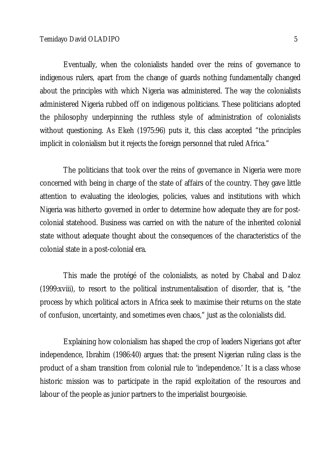Eventually, when the colonialists handed over the reins of governance to indigenous rulers, apart from the change of guards nothing fundamentally changed about the principles with which Nigeria was administered. The way the colonialists administered Nigeria rubbed off on indigenous politicians. These politicians adopted the philosophy underpinning the ruthless style of administration of colonialists without questioning. As Ekeh (1975:96) puts it, this class accepted "the principles implicit in colonialism but it rejects the foreign personnel that ruled Africa."

The politicians that took over the reins of governance in Nigeria were more concerned with being in charge of the state of affairs of the country. They gave little attention to evaluating the ideologies, policies, values and institutions with which Nigeria was hitherto governed in order to determine how adequate they are for postcolonial statehood. Business was carried on with the nature of the inherited colonial state without adequate thought about the consequences of the characteristics of the colonial state in a post-colonial era.

This made the protégé of the colonialists, as noted by Chabal and Daloz (1999:xviii), to resort to the political instrumentalisation of disorder, that is, "the process by which political actors in Africa seek to maximise their returns on the state of confusion, uncertainty, and sometimes even chaos," just as the colonialists did.

Explaining how colonialism has shaped the crop of leaders Nigerians got after independence, Ibrahim (1986:40) argues that: the present Nigerian ruling class is the product of a sham transition from colonial rule to 'independence.' It is a class whose historic mission was to participate in the rapid exploitation of the resources and labour of the people as junior partners to the imperialist bourgeoisie.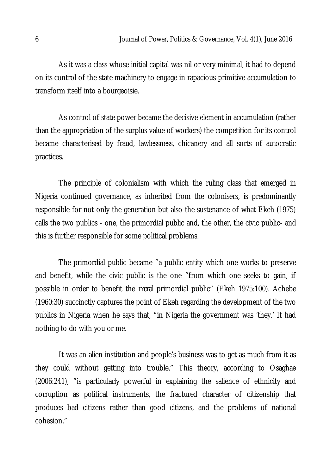As it was a class whose initial capital was nil or very minimal, it had to depend on its control of the state machinery to engage in rapacious primitive accumulation to transform itself into a bourgeoisie.

As control of state power became the decisive element in accumulation (rather than the appropriation of the surplus value of workers) the competition for its control became characterised by fraud, lawlessness, chicanery and all sorts of autocratic practices.

The principle of colonialism with which the ruling class that emerged in Nigeria continued governance, as inherited from the colonisers, is predominantly responsible for not only the generation but also the sustenance of what Ekeh (1975) calls the two publics - one, the primordial public and, the other, the civic public- and this is further responsible for some political problems.

The primordial public became "a public entity which one works to preserve and benefit, while the civic public is the one "from which one seeks to gain, if possible in order to benefit the *moral* primordial public" (Ekeh 1975:100). Achebe (1960:30) succinctly captures the point of Ekeh regarding the development of the two publics in Nigeria when he says that, "in Nigeria the government was 'they.' It had nothing to do with you or me.

It was an alien institution and people's business was to get as much from it as they could without getting into trouble." This theory, according to Osaghae (2006:241), "is particularly powerful in explaining the salience of ethnicity and corruption as political instruments, the fractured character of citizenship that produces bad citizens rather than good citizens, and the problems of national cohesion."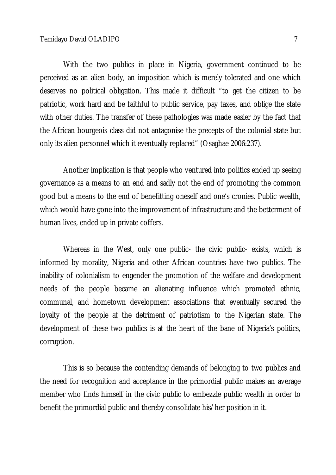With the two publics in place in Nigeria, government continued to be perceived as an alien body, an imposition which is merely tolerated and one which deserves no political obligation. This made it difficult "to get the citizen to be patriotic, work hard and be faithful to public service, pay taxes, and oblige the state with other duties. The transfer of these pathologies was made easier by the fact that the African bourgeois class did not antagonise the precepts of the colonial state but only its alien personnel which it eventually replaced" (Osaghae 2006:237).

Another implication is that people who ventured into politics ended up seeing governance as a means to an end and sadly not the end of promoting the common good but a means to the end of benefitting oneself and one's cronies. Public wealth, which would have gone into the improvement of infrastructure and the betterment of human lives, ended up in private coffers.

Whereas in the West, only one public- the civic public- exists, which is informed by morality, Nigeria and other African countries have two publics. The inability of colonialism to engender the promotion of the welfare and development needs of the people became an alienating influence which promoted ethnic, communal, and hometown development associations that eventually secured the loyalty of the people at the detriment of patriotism to the Nigerian state. The development of these two publics is at the heart of the bane of Nigeria's politics, corruption.

This is so because the contending demands of belonging to two publics and the need for recognition and acceptance in the primordial public makes an average member who finds himself in the civic public to embezzle public wealth in order to benefit the primordial public and thereby consolidate his/her position in it.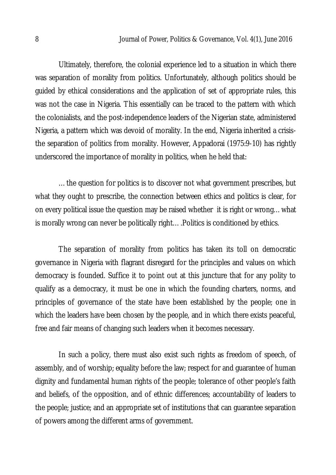Ultimately, therefore, the colonial experience led to a situation in which there was separation of morality from politics. Unfortunately, although politics should be guided by ethical considerations and the application of set of appropriate rules, this was not the case in Nigeria. This essentially can be traced to the pattern with which the colonialists, and the post-independence leaders of the Nigerian state, administered Nigeria, a pattern which was devoid of morality. In the end, Nigeria inherited a crisisthe separation of politics from morality. However, Appadorai (1975:9-10) has rightly underscored the importance of morality in politics, when he held that:

…the question for politics is to discover not what government prescribes, but what they ought to prescribe, the connection between ethics and politics is clear, for on every political issue the question may be raised whether it is right or wrong…what is morally wrong can never be politically right….Politics is conditioned by ethics.

The separation of morality from politics has taken its toll on democratic governance in Nigeria with flagrant disregard for the principles and values on which democracy is founded. Suffice it to point out at this juncture that for any polity to qualify as a democracy, it must be one in which the founding charters, norms, and principles of governance of the state have been established by the people; one in which the leaders have been chosen by the people, and in which there exists peaceful, free and fair means of changing such leaders when it becomes necessary.

In such a policy, there must also exist such rights as freedom of speech, of assembly, and of worship; equality before the law; respect for and guarantee of human dignity and fundamental human rights of the people; tolerance of other people's faith and beliefs, of the opposition, and of ethnic differences; accountability of leaders to the people; justice; and an appropriate set of institutions that can guarantee separation of powers among the different arms of government.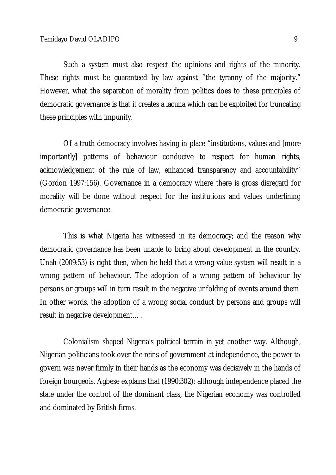Such a system must also respect the opinions and rights of the minority. These rights must be guaranteed by law against "the tyranny of the majority." However, what the separation of morality from politics does to these principles of democratic governance is that it creates a lacuna which can be exploited for truncating these principles with impunity.

Of a truth democracy involves having in place "institutions, values and [more importantly] patterns of behaviour conducive to respect for human rights, acknowledgement of the rule of law, enhanced transparency and accountability" (Gordon 1997:156). Governance in a democracy where there is gross disregard for morality will be done without respect for the institutions and values underlining democratic governance.

This is what Nigeria has witnessed in its democracy; and the reason why democratic governance has been unable to bring about development in the country. Unah (2009:53) is right then, when he held that a wrong value system will result in a wrong pattern of behaviour. The adoption of a wrong pattern of behaviour by persons or groups will in turn result in the negative unfolding of events around them. In other words, the adoption of a wrong social conduct by persons and groups will result in negative development….

Colonialism shaped Nigeria's political terrain in yet another way. Although, Nigerian politicians took over the reins of government at independence, the power to govern was never firmly in their hands as the economy was decisively in the hands of foreign bourgeois. Agbese explains that (1990:302): although independence placed the state under the control of the dominant class, the Nigerian economy was controlled and dominated by British firms.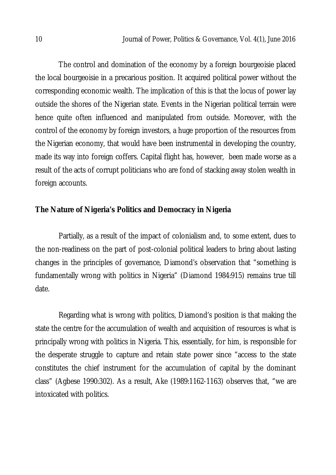The control and domination of the economy by a foreign bourgeoisie placed the local bourgeoisie in a precarious position. It acquired political power without the corresponding economic wealth. The implication of this is that the locus of power lay outside the shores of the Nigerian state. Events in the Nigerian political terrain were hence quite often influenced and manipulated from outside. Moreover, with the control of the economy by foreign investors, a huge proportion of the resources from the Nigerian economy, that would have been instrumental in developing the country, made its way into foreign coffers. Capital flight has, however, been made worse as a result of the acts of corrupt politicians who are fond of stacking away stolen wealth in foreign accounts.

## **The Nature of Nigeria's Politics and Democracy in Nigeria**

Partially, as a result of the impact of colonialism and, to some extent, dues to the non-readiness on the part of post-colonial political leaders to bring about lasting changes in the principles of governance, Diamond's observation that "something is fundamentally wrong with politics in Nigeria" (Diamond 1984:915) remains true till date.

Regarding what is wrong with politics, Diamond's position is that making the state the centre for the accumulation of wealth and acquisition of resources is what is principally wrong with politics in Nigeria. This, essentially, for him, is responsible for the desperate struggle to capture and retain state power since "access to the state constitutes the chief instrument for the accumulation of capital by the dominant class" (Agbese 1990:302). As a result, Ake (1989:1162-1163) observes that, "we are intoxicated with politics.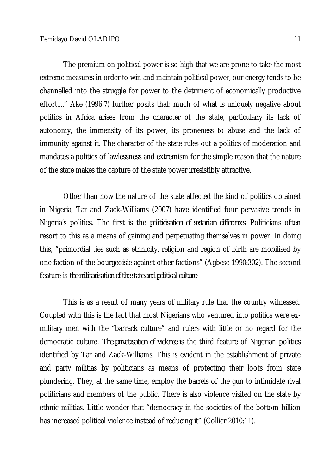The premium on political power is so high that we are prone to take the most extreme measures in order to win and maintain political power, our energy tends to be channelled into the struggle for power to the detriment of economically productive effort...." Ake (1996:7) further posits that: much of what is uniquely negative about politics in Africa arises from the character of the state, particularly its lack of autonomy, the immensity of its power, its proneness to abuse and the lack of immunity against it. The character of the state rules out a politics of moderation and mandates a politics of lawlessness and extremism for the simple reason that the nature of the state makes the capture of the state power irresistibly attractive.

Other than how the nature of the state affected the kind of politics obtained in Nigeria, Tar and Zack-Williams (2007) have identified four pervasive trends in Nigeria's politics. The first is the *politicisation of sectarian differences*. Politicians often resort to this as a means of gaining and perpetuating themselves in power. In doing this, "primordial ties such as ethnicity, religion and region of birth are mobilised by one faction of the bourgeoisie against other factions" (Agbese 1990:302). The second feature is *the militarisation of the state and political culture*.

This is as a result of many years of military rule that the country witnessed. Coupled with this is the fact that most Nigerians who ventured into politics were exmilitary men with the "barrack culture" and rulers with little or no regard for the democratic culture. *The privatisation of violence* is the third feature of Nigerian politics identified by Tar and Zack-Williams. This is evident in the establishment of private and party militias by politicians as means of protecting their loots from state plundering. They, at the same time, employ the barrels of the gun to intimidate rival politicians and members of the public. There is also violence visited on the state by ethnic militias. Little wonder that "democracy in the societies of the bottom billion has increased political violence instead of reducing it" (Collier 2010:11).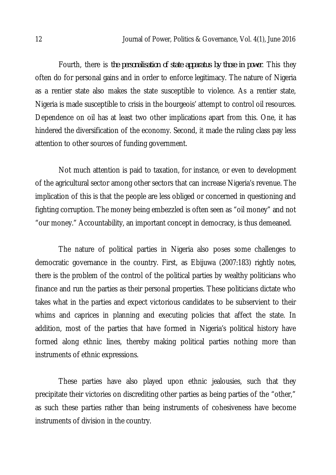Fourth, there is *the personalisation of state apparatus by those in power*. This they often do for personal gains and in order to enforce legitimacy. The nature of Nigeria as a rentier state also makes the state susceptible to violence. As a rentier state, Nigeria is made susceptible to crisis in the bourgeois' attempt to control oil resources. Dependence on oil has at least two other implications apart from this. One, it has hindered the diversification of the economy. Second, it made the ruling class pay less attention to other sources of funding government.

Not much attention is paid to taxation, for instance, or even to development of the agricultural sector among other sectors that can increase Nigeria's revenue. The implication of this is that the people are less obliged or concerned in questioning and fighting corruption. The money being embezzled is often seen as "oil money" and not "our money." Accountability, an important concept in democracy, is thus demeaned.

The nature of political parties in Nigeria also poses some challenges to democratic governance in the country. First, as Ebijuwa (2007:183) rightly notes, there is the problem of the control of the political parties by wealthy politicians who finance and run the parties as their personal properties. These politicians dictate who takes what in the parties and expect victorious candidates to be subservient to their whims and caprices in planning and executing policies that affect the state. In addition, most of the parties that have formed in Nigeria's political history have formed along ethnic lines, thereby making political parties nothing more than instruments of ethnic expressions.

These parties have also played upon ethnic jealousies, such that they precipitate their victories on discrediting other parties as being parties of the "other," as such these parties rather than being instruments of cohesiveness have become instruments of division in the country.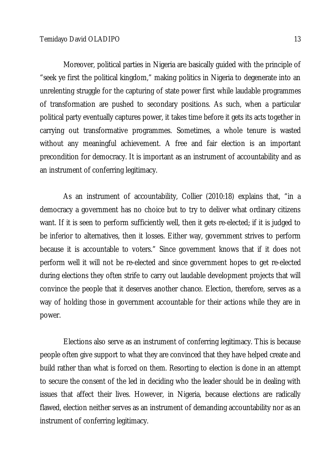Moreover, political parties in Nigeria are basically guided with the principle of "seek ye first the political kingdom," making politics in Nigeria to degenerate into an unrelenting struggle for the capturing of state power first while laudable programmes of transformation are pushed to secondary positions. As such, when a particular political party eventually captures power, it takes time before it gets its acts together in carrying out transformative programmes. Sometimes, a whole tenure is wasted without any meaningful achievement. A free and fair election is an important precondition for democracy. It is important as an instrument of accountability and as an instrument of conferring legitimacy.

As an instrument of accountability, Collier (2010:18) explains that, "in a democracy a government has no choice but to try to deliver what ordinary citizens want. If it is seen to perform sufficiently well, then it gets re-elected; if it is judged to be inferior to alternatives, then it losses. Either way, government strives to perform because it is accountable to voters." Since government knows that if it does not perform well it will not be re-elected and since government hopes to get re-elected during elections they often strife to carry out laudable development projects that will convince the people that it deserves another chance. Election, therefore, serves as a way of holding those in government accountable for their actions while they are in power.

Elections also serve as an instrument of conferring legitimacy. This is because people often give support to what they are convinced that they have helped create and build rather than what is forced on them. Resorting to election is done in an attempt to secure the consent of the led in deciding who the leader should be in dealing with issues that affect their lives. However, in Nigeria, because elections are radically flawed, election neither serves as an instrument of demanding accountability nor as an instrument of conferring legitimacy.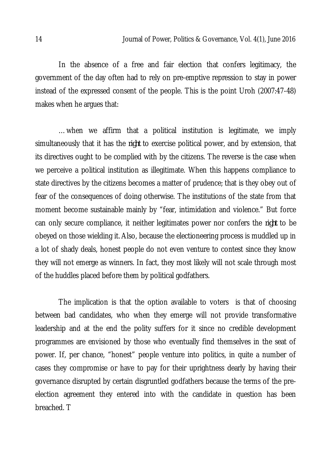In the absence of a free and fair election that confers legitimacy, the government of the day often had to rely on pre-emptive repression to stay in power instead of the expressed consent of the people. This is the point Uroh (2007:47-48) makes when he argues that:

…when we affirm that a political institution is legitimate, we imply simultaneously that it has the *right* to exercise political power, and by extension, that its directives ought to be complied with by the citizens. The reverse is the case when we perceive a political institution as illegitimate. When this happens compliance to state directives by the citizens becomes a matter of prudence; that is they obey out of fear of the consequences of doing otherwise. The institutions of the state from that moment become sustainable mainly by "fear, intimidation and violence." But force can only secure compliance, it neither legitimates power nor confers the *right* to be obeyed on those wielding it. Also, because the electioneering process is muddled up in a lot of shady deals, honest people do not even venture to contest since they know they will not emerge as winners. In fact, they most likely will not scale through most of the huddles placed before them by political godfathers.

The implication is that the option available to voters is that of choosing between bad candidates, who when they emerge will not provide transformative leadership and at the end the polity suffers for it since no credible development programmes are envisioned by those who eventually find themselves in the seat of power. If, per chance, "honest" people venture into politics, in quite a number of cases they compromise or have to pay for their uprightness dearly by having their governance disrupted by certain disgruntled godfathers because the terms of the preelection agreement they entered into with the candidate in question has been breached. T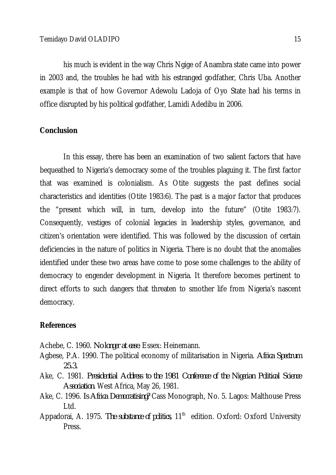his much is evident in the way Chris Ngige of Anambra state came into power in 2003 and, the troubles he had with his estranged godfather, Chris Uba. Another example is that of how Governor Adewolu Ladoja of Oyo State had his terms in office disrupted by his political godfather, Lamidi Adedibu in 2006.

### **Conclusion**

In this essay, there has been an examination of two salient factors that have bequeathed to Nigeria's democracy some of the troubles plaguing it. The first factor that was examined is colonialism. As Otite suggests the past defines social characteristics and identities (Otite 1983:6). The past is a major factor that produces the "present which will, in turn, develop into the future" (Otite 1983:7). Consequently, vestiges of colonial legacies in leadership styles, governance, and citizen's orientation were identified. This was followed by the discussion of certain deficiencies in the nature of politics in Nigeria. There is no doubt that the anomalies identified under these two areas have come to pose some challenges to the ability of democracy to engender development in Nigeria. It therefore becomes pertinent to direct efforts to such dangers that threaten to smother life from Nigeria's nascent democracy.

#### **References**

Achebe, C. 1960. *No longer at ease*. Essex: Heinemann.

- Agbese, P.A. 1990. The political economy of militarisation in Nigeria. *Africa Spectrum 25.3.*
- Ake, C. 1981. *Presidential Address to the 1981 Conference of the Nigerian Political Science Association.* West Africa, May 26, 1981.
- Ake, C. 1996. *Is Africa Democratising?* Cass Monograph, No. 5. Lagos: Malthouse Press Ltd.
- Appadorai, A. 1975. *The substance of politics*, 11<sup>th</sup> edition. Oxford: Oxford University Press.